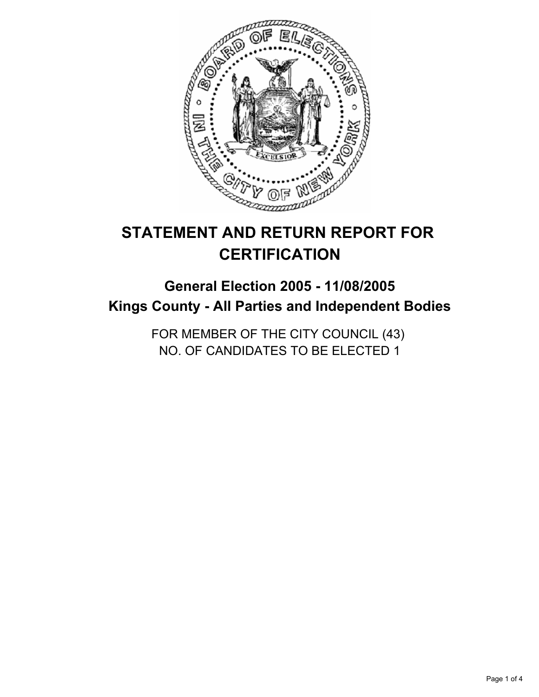

# **STATEMENT AND RETURN REPORT FOR CERTIFICATION**

## **General Election 2005 - 11/08/2005 Kings County - All Parties and Independent Bodies**

FOR MEMBER OF THE CITY COUNCIL (43) NO. OF CANDIDATES TO BE ELECTED 1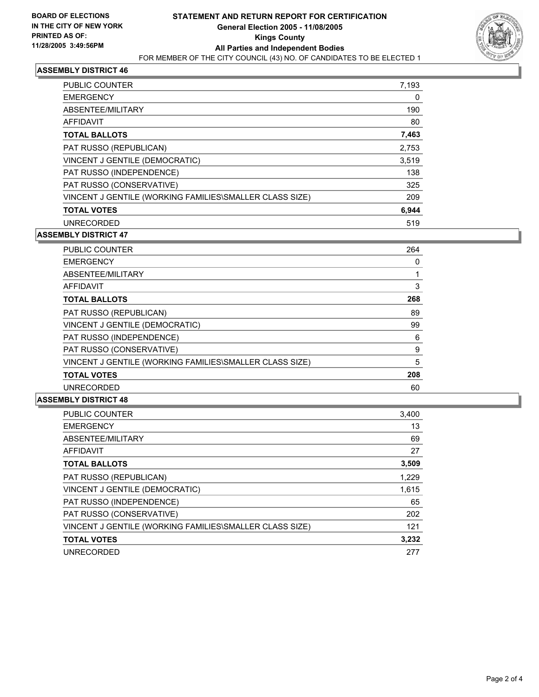

## **ASSEMBLY DISTRICT 46**

| PUBLIC COUNTER                                          | 7,193 |
|---------------------------------------------------------|-------|
| <b>EMERGENCY</b>                                        | 0     |
| ABSENTEE/MILITARY                                       | 190   |
| AFFIDAVIT                                               | 80    |
| <b>TOTAL BALLOTS</b>                                    | 7,463 |
| PAT RUSSO (REPUBLICAN)                                  | 2,753 |
| VINCENT J GENTILE (DEMOCRATIC)                          | 3,519 |
| PAT RUSSO (INDEPENDENCE)                                | 138   |
| PAT RUSSO (CONSERVATIVE)                                | 325   |
| VINCENT J GENTILE (WORKING FAMILIES\SMALLER CLASS SIZE) | 209   |
| <b>TOTAL VOTES</b>                                      | 6,944 |
| <b>UNRECORDED</b>                                       | 519   |

#### **ASSEMBLY DISTRICT 47**

| <b>PUBLIC COUNTER</b>                                   | 264 |  |
|---------------------------------------------------------|-----|--|
| <b>EMERGENCY</b>                                        |     |  |
| ABSENTEE/MILITARY                                       |     |  |
| AFFIDAVIT                                               |     |  |
| <b>TOTAL BALLOTS</b>                                    | 268 |  |
| PAT RUSSO (REPUBLICAN)                                  | 89  |  |
| VINCENT J GENTILE (DEMOCRATIC)                          | 99  |  |
| PAT RUSSO (INDEPENDENCE)                                | 6   |  |
| PAT RUSSO (CONSERVATIVE)                                | 9   |  |
| VINCENT J GENTILE (WORKING FAMILIES\SMALLER CLASS SIZE) | 5   |  |
| <b>TOTAL VOTES</b>                                      | 208 |  |
| <b>UNRECORDED</b>                                       | 60  |  |

#### **ASSEMBLY DISTRICT 48**

| <b>PUBLIC COUNTER</b>                                   | 3,400 |
|---------------------------------------------------------|-------|
| <b>EMERGENCY</b>                                        | 13    |
| ABSENTEE/MILITARY                                       | 69    |
| <b>AFFIDAVIT</b>                                        | 27    |
| <b>TOTAL BALLOTS</b>                                    | 3,509 |
| PAT RUSSO (REPUBLICAN)                                  | 1,229 |
| VINCENT J GENTILE (DEMOCRATIC)                          | 1,615 |
| PAT RUSSO (INDEPENDENCE)                                | 65    |
| PAT RUSSO (CONSERVATIVE)                                | 202   |
| VINCENT J GENTILE (WORKING FAMILIES\SMALLER CLASS SIZE) | 121   |
| <b>TOTAL VOTES</b>                                      | 3,232 |
| <b>UNRECORDED</b>                                       | 277   |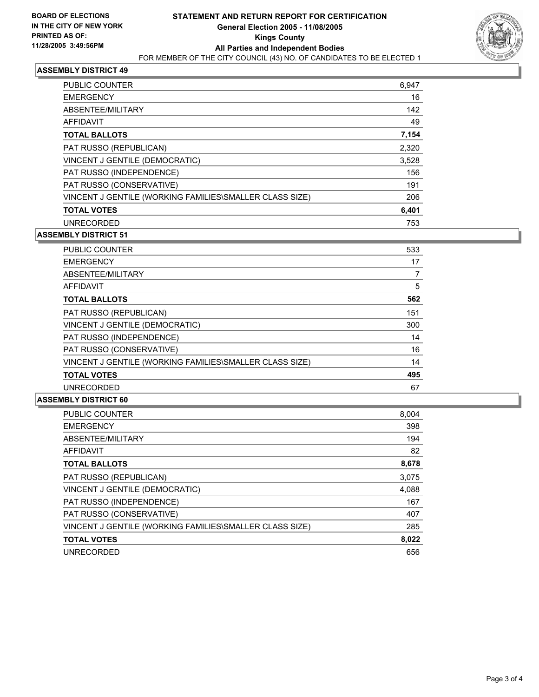

## **ASSEMBLY DISTRICT 49**

| PUBLIC COUNTER                                          | 6,947 |
|---------------------------------------------------------|-------|
| <b>EMERGENCY</b>                                        | 16    |
| ABSENTEE/MILITARY                                       | 142   |
| AFFIDAVIT                                               | 49    |
| <b>TOTAL BALLOTS</b>                                    | 7,154 |
| PAT RUSSO (REPUBLICAN)                                  | 2,320 |
| VINCENT J GENTILE (DEMOCRATIC)                          | 3,528 |
| PAT RUSSO (INDEPENDENCE)                                | 156   |
| PAT RUSSO (CONSERVATIVE)                                | 191   |
| VINCENT J GENTILE (WORKING FAMILIES\SMALLER CLASS SIZE) | 206   |
| <b>TOTAL VOTES</b>                                      | 6,401 |
| <b>UNRECORDED</b>                                       | 753   |

#### **ASSEMBLY DISTRICT 51**

| <b>PUBLIC COUNTER</b><br>533                            |    |
|---------------------------------------------------------|----|
| <b>EMERGENCY</b>                                        | 17 |
| ABSENTEE/MILITARY                                       |    |
| AFFIDAVIT                                               | 5  |
| 562<br><b>TOTAL BALLOTS</b>                             |    |
| PAT RUSSO (REPUBLICAN)<br>151                           |    |
| VINCENT J GENTILE (DEMOCRATIC)<br>300                   |    |
| PAT RUSSO (INDEPENDENCE)                                | 14 |
| PAT RUSSO (CONSERVATIVE)                                | 16 |
| VINCENT J GENTILE (WORKING FAMILIES\SMALLER CLASS SIZE) | 14 |
| 495<br><b>TOTAL VOTES</b>                               |    |
| <b>UNRECORDED</b>                                       | 67 |

#### **ASSEMBLY DISTRICT 60**

| <b>PUBLIC COUNTER</b>                                   | 8,004 |
|---------------------------------------------------------|-------|
| <b>EMERGENCY</b>                                        | 398   |
| ABSENTEE/MILITARY                                       | 194   |
| AFFIDAVIT                                               | 82    |
| <b>TOTAL BALLOTS</b>                                    | 8,678 |
| PAT RUSSO (REPUBLICAN)                                  | 3,075 |
| VINCENT J GENTILE (DEMOCRATIC)                          | 4,088 |
| PAT RUSSO (INDEPENDENCE)                                | 167   |
| PAT RUSSO (CONSERVATIVE)                                | 407   |
| VINCENT J GENTILE (WORKING FAMILIES\SMALLER CLASS SIZE) | 285   |
| <b>TOTAL VOTES</b>                                      | 8,022 |
| <b>UNRECORDED</b>                                       | 656   |